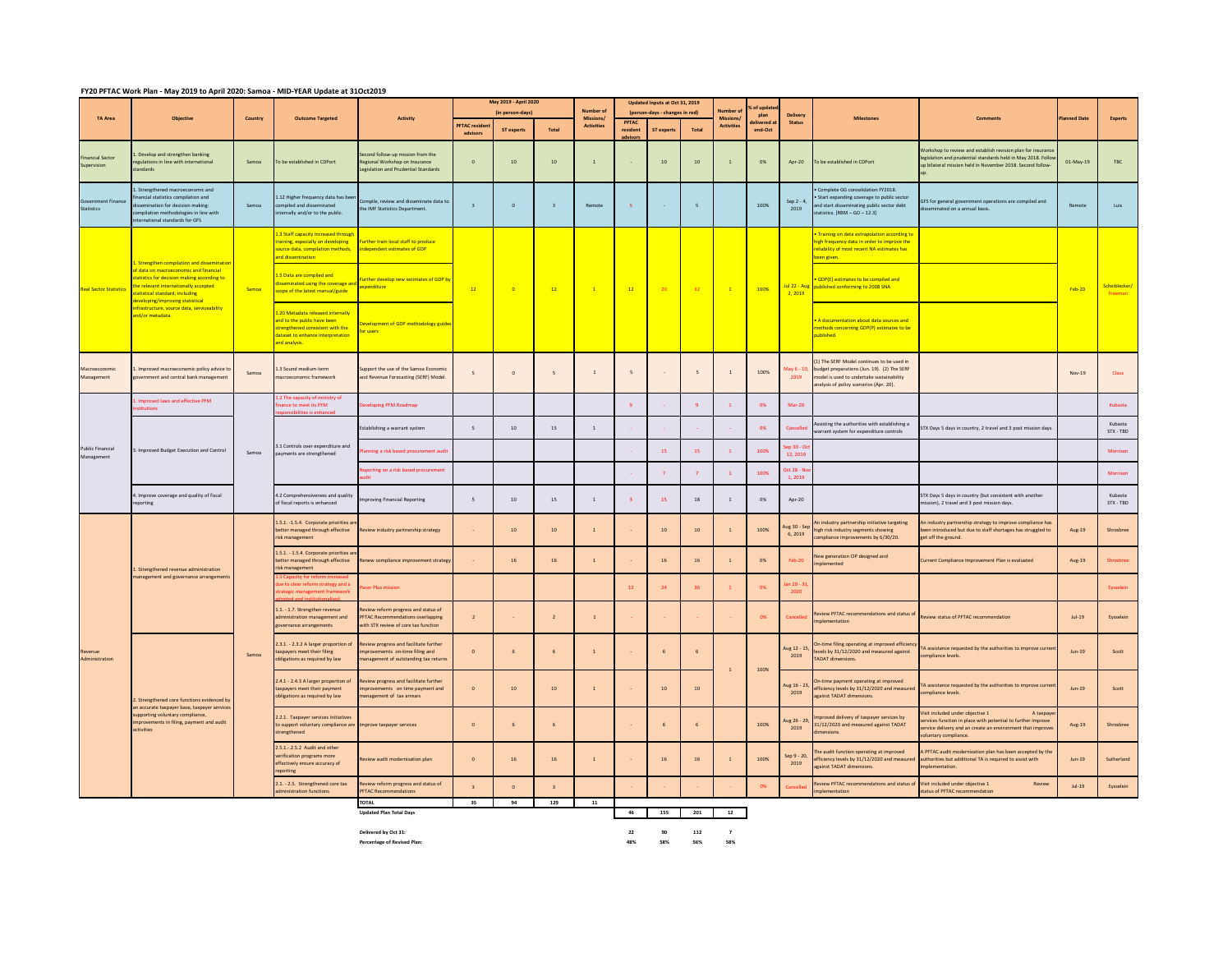## **FY20 PFTAC Work Plan - May 2019 to April 2020: Samoa - MID-YEAR Update at 31Oct2019**

|                                       | <b>Objective</b>                                                                                                                                                                                                                                                                                                     | Country                                        | <b>Outcome Targeted</b>                                                                                                                                    | <b>Activity</b>                                                                                                        | May 2019 - April 2020   |                  |                          |                                | Updated Inputs at Oct 31, 2019<br><b>Number of</b><br>(person-days - changes in red) |                 |                | of upda<br>lumber o            |                  |                                  |                                                                                                                                                                                  |                                                                                                                                                                                                  |            |                         |
|---------------------------------------|----------------------------------------------------------------------------------------------------------------------------------------------------------------------------------------------------------------------------------------------------------------------------------------------------------------------|------------------------------------------------|------------------------------------------------------------------------------------------------------------------------------------------------------------|------------------------------------------------------------------------------------------------------------------------|-------------------------|------------------|--------------------------|--------------------------------|--------------------------------------------------------------------------------------|-----------------|----------------|--------------------------------|------------------|----------------------------------|----------------------------------------------------------------------------------------------------------------------------------------------------------------------------------|--------------------------------------------------------------------------------------------------------------------------------------------------------------------------------------------------|------------|-------------------------|
| <b>TA Area</b>                        |                                                                                                                                                                                                                                                                                                                      |                                                |                                                                                                                                                            |                                                                                                                        | <b>PFTAC</b> resider    | (in person-days) |                          | Missions/<br><b>Activities</b> | <b>PFTAC</b>                                                                         |                 |                | Missions/<br><b>Activities</b> | plan<br>livered: | Delivery<br><b>Status</b>        | <b>Milestones</b>                                                                                                                                                                | <b>Comments</b>                                                                                                                                                                                  | anned Date | Experts                 |
|                                       |                                                                                                                                                                                                                                                                                                                      |                                                |                                                                                                                                                            |                                                                                                                        | advisors                | ST experts       | Total                    |                                | resident                                                                             | ST exper        | Total          |                                | end-Oct          |                                  |                                                                                                                                                                                  |                                                                                                                                                                                                  |            |                         |
| nancial Sector<br>upervision          | Develop and strengthen banking<br>regulations in line with international<br>standards                                                                                                                                                                                                                                | Samoa                                          | o be established in CDPort                                                                                                                                 | Second follow-up mission from the<br>Regional Workshop on Insurance<br>Legislation and Prudential Standards            | $\circ$                 | 10               | 10                       | $\mathbf{1}$                   |                                                                                      | 10              | 10             | $\mathbf{1}$                   | 0%               | Apr-20                           | To be established in CDPort                                                                                                                                                      | Workshop to review and establish revision plan for insuranc<br>legislation and prudential standards held in May 2018. Follov<br>up bilateral mission held in November 2018. Second follow        | 01-May-19  | TBC                     |
| vernment Finance<br>Statistics        | . Strengthened macroeconomic and<br>ancial statistics compilation and<br>semination for decision making:<br>ompilation methodologies in line with<br>ternational standards for GFS                                                                                                                                   | Samoa                                          | 1.12 Higher frequency data has beer<br>ompiled and disseminated<br>ternally and/or to the public.                                                          | Compile, review and disseminate data to<br>the IMF Statistics Department.                                              | $\overline{3}$          | $\circ$          | $\overline{\mathbf{3}}$  | Remote                         | $\overline{\mathbf{S}}$                                                              | o.              | $\sqrt{5}$     |                                | 100%             | Sep 2 - 4,<br>2019               | Complete GG consolidation FY2018.<br>Start expanding coverage to public sector<br>and start disseminating public sector debt<br>tatistics. $[RBM - GO - 12.3]$                   | GFS for general government operations are compiled and<br>eminated on a annual basis.                                                                                                            | Remote     | Luis                    |
| <b>Real Sector Statistics</b>         | . Strengthen compilation and dissemination<br>of data on macroeconomic and financial<br>tatistics for decision making according to<br>the relevant internationally accepted<br>statistical standard, including<br>leveloping/improving statistical<br>infrastructure, source data, serviceability<br>nd/or metadata. | Samoa                                          | 3 Staff capacity increased through<br>raining, especially on developing<br>ource data, compilation methods,<br>and dissemination                           | Further train local staff to produce<br>independent estimates of GDP                                                   | 12 <sup>°</sup>         | $\overline{0}$   | 12                       | $\mathbf{1}$                   | $-12$                                                                                | 20              | 32             |                                | 100%             | <b>Jul 22 - Au</b><br>2,2019     | Training on data extrapolation according to<br>igh frequency data in order to improve the<br>eliability of most recent NA estimates has<br>en given.                             |                                                                                                                                                                                                  | $Feb-20$   |                         |
|                                       |                                                                                                                                                                                                                                                                                                                      |                                                | 1.5 Data are compiled and<br>lisseminated using the coverage and<br>scope of the latest manual/guide                                                       | Further develop new estimates of GDP by<br>expenditure                                                                 |                         |                  |                          |                                |                                                                                      |                 |                |                                |                  |                                  | GDP(E) estimates to be compiled and<br>published conforming to 2008 SNA                                                                                                          |                                                                                                                                                                                                  |            | Scheiblecker<br>Freeman |
|                                       |                                                                                                                                                                                                                                                                                                                      |                                                | L.20 Metadata released internally<br>and to the public have been<br>strengthened consistent with the<br>dataset to enhance interpretation<br>and analysis. | Development of GDP methodology guide<br>for users                                                                      |                         |                  |                          |                                |                                                                                      |                 |                |                                |                  |                                  | A documentation about data sources and<br>nethods concerning GDP(P) estimates to be<br>iblished.                                                                                 |                                                                                                                                                                                                  |            |                         |
| lacroeconomic<br>Management           | Improved macroeconomic policy advice to<br>ernment and central bank management                                                                                                                                                                                                                                       | Samoa                                          | 3 Sound medium-term<br>acroeconomic framework                                                                                                              | pport the use of the Samoa Economi<br>and Revenue Forecasting (SERF) Model                                             | 5                       | $\circ$          | $\overline{\phantom{a}}$ | $\mathbf{1}$                   | 5                                                                                    |                 | 5 <sup>2</sup> | $\mathbf{1}$                   | 100%             | May 6 - 1<br>2019                | 1) The SERF Model continues to be used in<br>budget preparations (Jun. 19). (2) The SERF<br>model is used to undertake sustainability<br>analysis of policy scenarios (Apr. 20). |                                                                                                                                                                                                  | Nov-19     | Claus                   |
| <b>Public Financial</b><br>Management | Improved laws and effective PFM                                                                                                                                                                                                                                                                                      |                                                | 2 The capacity of ministry of<br>ance to meet its PFM                                                                                                      | eloping PFM Roadmap                                                                                                    |                         |                  |                          |                                | $\overline{9}$                                                                       |                 |                |                                | 0%               | Mar-20                           |                                                                                                                                                                                  |                                                                                                                                                                                                  |            | Kubasta                 |
|                                       | Improved Budget Execution and Control                                                                                                                                                                                                                                                                                | Samoa                                          | 1 Controls over expenditure and<br>ayments are strengthened                                                                                                | Establishing a warrant system                                                                                          | 5                       | 10               | 15                       | $\mathbf{1}$                   |                                                                                      |                 |                |                                | 0%               | Cancelle                         | sisting the authorities with establishing a<br>arrant system for expenditure controls                                                                                            | FTX Days 5 days in country, 2 travel and 3 post mission days.                                                                                                                                    |            | Kubasta<br>STX - TBD    |
|                                       |                                                                                                                                                                                                                                                                                                                      |                                                |                                                                                                                                                            | ining a risk based procurement audit                                                                                   |                         |                  |                          |                                |                                                                                      | 15 <sub>1</sub> | 15             | $\mathbf{1}$                   | 100%             | $\frac{5}{2}$ 30 - 0<br>12, 2019 |                                                                                                                                                                                  |                                                                                                                                                                                                  |            | Morrison                |
|                                       |                                                                                                                                                                                                                                                                                                                      |                                                |                                                                                                                                                            | orting on a risk based procurement                                                                                     |                         |                  |                          |                                |                                                                                      | $\overline{7}$  |                | $\mathbf{1}$                   | 100%             | Oct 28 - N<br>1,2019             |                                                                                                                                                                                  |                                                                                                                                                                                                  |            | Morrison                |
|                                       | Improve coverage and quality of fiscal<br>eporting                                                                                                                                                                                                                                                                   |                                                | 1.2 Comprehensiveness and quality<br>of fiscal reports is enhanced                                                                                         | proving Financial Reporting                                                                                            | 5                       | 10               | 15                       | $\mathbf{1}$                   | $\overline{\mathbf{3}}$                                                              | 15              | $18\,$         | $\mathbf{1}$                   | 0%               | Apr-20                           |                                                                                                                                                                                  | STX Days 5 days in country (but consistent with another<br>ission), 2 travel and 3 post mission days.                                                                                            |            | Kubasta<br>STX - TBD    |
| Revenue<br>Administration             | L. Strengthened revenue administration<br>anagement and governance arrangements                                                                                                                                                                                                                                      | Samoa                                          | 1.5.1. -1.5.4. Corporate priorities a<br>etter managed through effective<br>isk management                                                                 | Review industry partnership strategy                                                                                   |                         | $10$             | 10                       | $\mathbf 1$                    |                                                                                      | $10\,$          | 10             |                                | 100%             | ug 30 - Se<br>6.2019             | industry partnership initiative targeting<br>high risk industry segments showing<br>mpliance improvements by 6/30/20.                                                            | industry partnership strategy to improve compliance has<br>een introduced but due to staff shortages has struggled to<br>get off the ground.                                                     | Aug-19     | Shrosbree               |
|                                       |                                                                                                                                                                                                                                                                                                                      |                                                | 1.5.1. - 1.5.4. Corporate priorities a<br>better managed through effective<br>risk management                                                              | Renew compliance improvement strategy                                                                                  |                         | 16               | 16                       | $\mathbf{1}$                   |                                                                                      | 16              | 16             | $\mathbf{1}$                   | 0%               | Feb-20                           | ew generation CIP designed and<br>lemented                                                                                                                                       | urrent Compliance Improvement Plan is evaluated                                                                                                                                                  | Aug-19     | Shrosbree               |
|                                       |                                                                                                                                                                                                                                                                                                                      |                                                | e to clear reform strategy and a<br>ement framework                                                                                                        | ecer Plus mission                                                                                                      |                         |                  |                          |                                | 12 <sup>°</sup>                                                                      | 24              | 36             |                                | 0%               | an 20 - 3<br>2020                |                                                                                                                                                                                  |                                                                                                                                                                                                  |            | Eysselein               |
|                                       |                                                                                                                                                                                                                                                                                                                      |                                                | .1. - 1.7. Strengthen revenue<br>Iministration management and<br>wernance arrangements                                                                     | riew reform progress and status of<br><b>PFTAC Recommendations overlapping</b><br>with STX review of core tax function | $\mathbf{2}$            |                  | $\overline{2}$           | $\,$ 1 $\,$                    |                                                                                      |                 |                |                                | 0%               | Cancelle                         | leview PFTAC recommendations and status of<br>plementation                                                                                                                       | Review status of PFTAC recommendation                                                                                                                                                            | $Jul-19$   | Eysselein               |
|                                       | . Strengthened core functions evidenced by<br>an accurate taxpayer base, taxpayer services<br>pporting voluntary compliance,<br>provements in filing, payment and audit<br>ctivities                                                                                                                                 |                                                | 1.3.1. - 2.3.2 A larger proportion of<br>expayers meet their filing<br>bligations as required by law                                                       | Review progress and facilitate further<br>provememts on-time filing and<br>nanagement of outstanding tax returns       | $\Omega$                | 6 <sup>2</sup>   | 6                        | $\overline{1}$                 |                                                                                      | 6               | 6              |                                | 100%             | lug 12 - 15,<br>2019             | On-time filing operating at improved efficienc<br>levels by 31/12/2020 and measured against<br><b>TADAT dimensions.</b>                                                          | TA assistance requested by the authorities to improve currer<br>compliance levels.                                                                                                               | $lim-19$   | Scott                   |
|                                       |                                                                                                                                                                                                                                                                                                                      |                                                | 2.4.1 - 2.4.3 A larger proportion of<br>taxpayers meet their payment<br>bligations as required by law                                                      | Review progress and facilitate further<br>provememts on time payment and<br>anagement of tax arrears                   | $\circ$                 | $10$             | $10\,$                   | $\mathbf{1}$                   |                                                                                      | $10$            | 10             |                                |                  | $\frac{16 - 23}{16}$<br>2019     | On-time payment operating at improved<br>efficiency levels by 31/12/2020 and measured<br>gainst TADAT dimensions.                                                                | TA assistance requested by the authorities to improve curren<br>compliance levels.                                                                                                               | $Jun-19$   | Scott                   |
|                                       |                                                                                                                                                                                                                                                                                                                      |                                                | 2.2.1. Taxpayer services initiatives<br>to support voluntary compliance are Improve taxpayer services<br>strengthened                                      |                                                                                                                        | $\Omega$                | 6 <sup>2</sup>   | 6                        |                                |                                                                                      | 6               | 6              |                                | 100%             | lug 26 - 29<br>2019              | proved delivery of taxpayer services by<br>31/12/2020 and measured against TADAT<br>mensions.                                                                                    | isit included under objective 1<br>A taxpay<br>ervices function in place with potential to further improve<br>ervice delivery and an create an environment that improves<br>oluntary compliance. | Aug-19     | Shrosbree               |
|                                       |                                                                                                                                                                                                                                                                                                                      |                                                | 2.5.1 - 2.5.2 Audit and other<br>erification programs more<br>ffectively ensure accuracy of<br>porting                                                     | view audit modernisation plan                                                                                          | $\circ$                 | 16               | 16                       | $\mathbf{1}$                   |                                                                                      | 16              | 16             | $\overline{1}$                 | 100%             | Sep 9 - 20<br>2019               | e audit function operating at improved<br>liciency levels by 31/12/2020 and measured<br>gainst TADAT dimensions.                                                                 | A PFTAC audit modernization plan has been accepted by the<br>authorities but additional TA is required to assist with<br>plementation.                                                           | $Jun-19$   | Sutherland              |
|                                       |                                                                                                                                                                                                                                                                                                                      |                                                | 2.1. - 2.5. Strengthened core tax<br>ministration functions                                                                                                | eview reform progress and status of<br><b>PFTAC Recommendations</b>                                                    | $\overline{\mathbf{3}}$ | $\Omega$         | $\overline{A}$           |                                |                                                                                      |                 |                |                                | 0%               |                                  | view PFTAC recommendations and status of<br>lementation                                                                                                                          | Visit included under objective 1<br>Review<br>status of PFTAC recommendation                                                                                                                     | $Jul-19$   | Eysselein               |
|                                       |                                                                                                                                                                                                                                                                                                                      | <b>TOTAL</b><br><b>Updated Plan Total Days</b> | 35                                                                                                                                                         | 94                                                                                                                     | 129                     | 11               | 46                       |                                | 155 201                                                                              | 12              |                |                                |                  |                                  |                                                                                                                                                                                  |                                                                                                                                                                                                  |            |                         |

**Delivered by Oct 31: 22 90 112 7 Percentage of Revised Plan: 48% 58% 56% 58%**